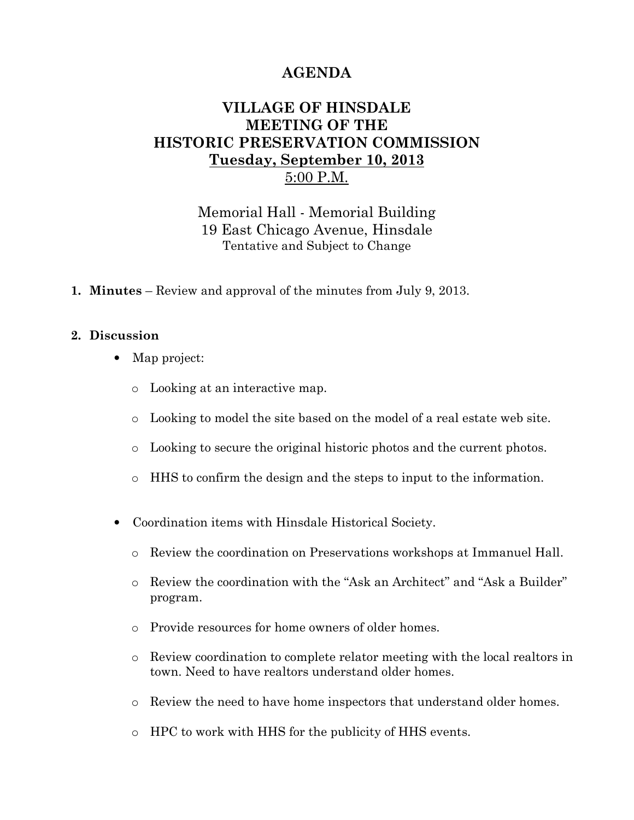## AGENDA

## VILLAGE OF HINSDALE MEETING OF THE HISTORIC PRESERVATION COMMISSION Tuesday, September 10, 2013 5:00 P.M.

Memorial Hall - Memorial Building 19 East Chicago Avenue, Hinsdale Tentative and Subject to Change

1. Minutes – Review and approval of the minutes from July 9, 2013.

## 2. Discussion

- Map project:
	- o Looking at an interactive map.
	- o Looking to model the site based on the model of a real estate web site.
	- o Looking to secure the original historic photos and the current photos.
	- o HHS to confirm the design and the steps to input to the information.
- Coordination items with Hinsdale Historical Society.
	- o Review the coordination on Preservations workshops at Immanuel Hall.
	- o Review the coordination with the "Ask an Architect" and "Ask a Builder" program.
	- o Provide resources for home owners of older homes.
	- o Review coordination to complete relator meeting with the local realtors in town. Need to have realtors understand older homes.
	- o Review the need to have home inspectors that understand older homes.
	- o HPC to work with HHS for the publicity of HHS events.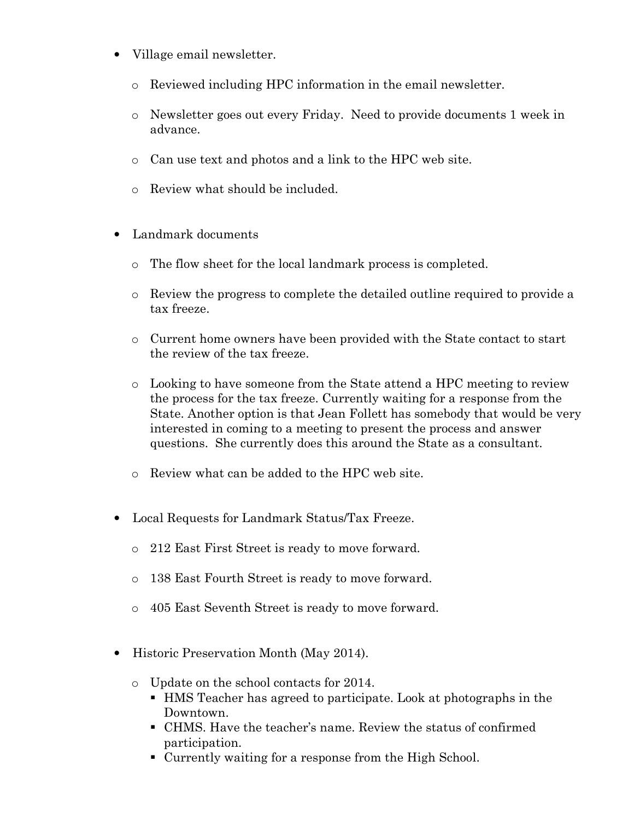- Village email newsletter.
	- o Reviewed including HPC information in the email newsletter.
	- o Newsletter goes out every Friday. Need to provide documents 1 week in advance.
	- o Can use text and photos and a link to the HPC web site.
	- o Review what should be included.
- Landmark documents
	- o The flow sheet for the local landmark process is completed.
	- o Review the progress to complete the detailed outline required to provide a tax freeze.
	- o Current home owners have been provided with the State contact to start the review of the tax freeze.
	- o Looking to have someone from the State attend a HPC meeting to review the process for the tax freeze. Currently waiting for a response from the State. Another option is that Jean Follett has somebody that would be very interested in coming to a meeting to present the process and answer questions. She currently does this around the State as a consultant.
	- o Review what can be added to the HPC web site.
- Local Requests for Landmark Status/Tax Freeze.
	- o 212 East First Street is ready to move forward.
	- o 138 East Fourth Street is ready to move forward.
	- o 405 East Seventh Street is ready to move forward.
- Historic Preservation Month (May 2014).
	- o Update on the school contacts for 2014.
		- HMS Teacher has agreed to participate. Look at photographs in the Downtown.
		- CHMS. Have the teacher's name. Review the status of confirmed participation.
		- Currently waiting for a response from the High School.